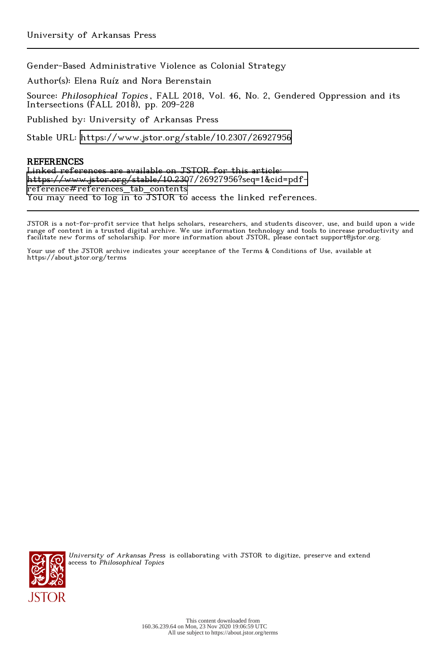Gender-Based Administrative Violence as Colonial Strategy

Author(s): Elena Ruíz and Nora Berenstain

Source: Philosophical Topics , FALL 2018, Vol. 46, No. 2, Gendered Oppression and its Intersections (FALL 2018), pp. 209-228

Published by: University of Arkansas Press

Stable URL:<https://www.jstor.org/stable/10.2307/26927956>

# REFERENCES

Linked references are available on JSTOR for this article: [https://www.jstor.org/stable/10.2307/26927956?seq=1&cid=pdf](https://www.jstor.org/stable/10.2307/26927956?seq=1&cid=pdf-reference#references_tab_contents)[reference#references\\_tab\\_contents](https://www.jstor.org/stable/10.2307/26927956?seq=1&cid=pdf-reference#references_tab_contents) You may need to log in to JSTOR to access the linked references.

JSTOR is a not-for-profit service that helps scholars, researchers, and students discover, use, and build upon a wide range of content in a trusted digital archive. We use information technology and tools to increase productivity and facilitate new forms of scholarship. For more information about JSTOR, please contact support@jstor.org.

Your use of the JSTOR archive indicates your acceptance of the Terms & Conditions of Use, available at https://about.jstor.org/terms



University of Arkansas Press is collaborating with JSTOR to digitize, preserve and extend access to Philosophical Topics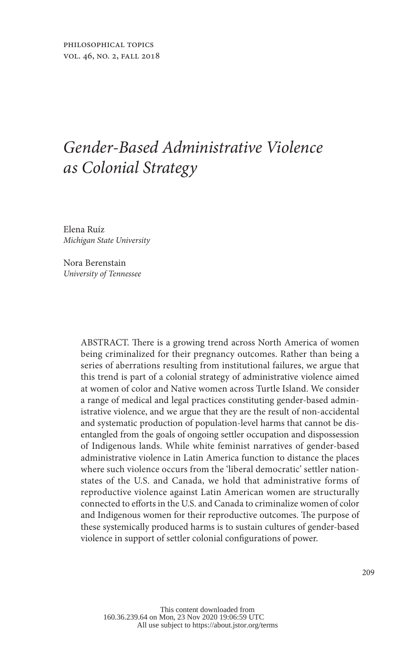# *Gender-Based Administrative Violence as Colonial Strategy*

Elena Ruíz *Michigan State University*

Nora Berenstain *University of Tennessee*

> ABSTRACT. There is a growing trend across North America of women being criminalized for their pregnancy outcomes. Rather than being a series of aberrations resulting from institutional failures, we argue that this trend is part of a colonial strategy of administrative violence aimed at women of color and Native women across Turtle Island. We consider a range of medical and legal practices constituting gender-based administrative violence, and we argue that they are the result of non-accidental and systematic production of population-level harms that cannot be disentangled from the goals of ongoing settler occupation and dispossession of Indigenous lands. While white feminist narratives of gender-based administrative violence in Latin America function to distance the places where such violence occurs from the 'liberal democratic' settler nationstates of the U.S. and Canada, we hold that administrative forms of reproductive violence against Latin American women are structurally connected to efforts in the U.S. and Canada to criminalize women of color and Indigenous women for their reproductive outcomes. The purpose of these systemically produced harms is to sustain cultures of gender-based violence in support of settler colonial configurations of power.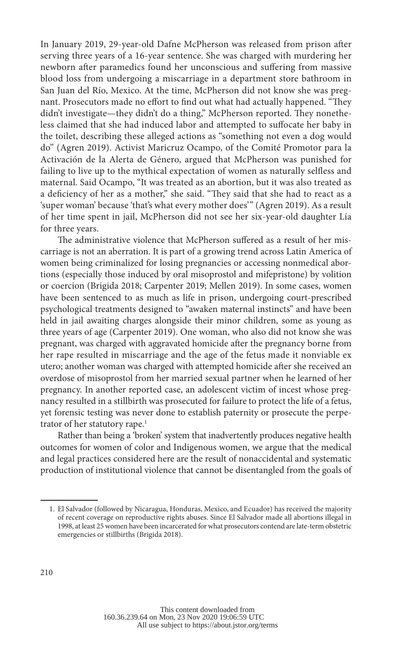In January 2019, 29-year-old Dafne McPherson was released from prison after serving three years of a 16-year sentence. She was charged with murdering her newborn after paramedics found her unconscious and suffering from massive blood loss from undergoing a miscarriage in a department store bathroom in San Juan del Río, Mexico. At the time, McPherson did not know she was pregnant. Prosecutors made no effort to find out what had actually happened. "They didn't investigate—they didn't do a thing," McPherson reported. They nonetheless claimed that she had induced labor and attempted to suffocate her baby in the toilet, describing these alleged actions as "something not even a dog would do" (Agren 2019). Activist Maricruz Ocampo, of the Comité Promotor para la Activación de la Alerta de Género, argued that McPherson was punished for failing to live up to the mythical expectation of women as naturally selfless and maternal. Said Ocampo, "It was treated as an abortion, but it was also treated as a deficiency of her as a mother," she said. "They said that she had to react as a 'super woman' because 'that's what every mother does'" (Agren 2019). As a result of her time spent in jail, McPherson did not see her six-year-old daughter Lía for three years.

The administrative violence that McPherson suffered as a result of her miscarriage is not an aberration. It is part of a growing trend across Latin America of women being criminalized for losing pregnancies or accessing nonmedical abortions (especially those induced by oral misoprostol and mifepristone) by volition or coercion (Brigida 2018; Carpenter 2019; Mellen 2019). In some cases, women have been sentenced to as much as life in prison, undergoing court-prescribed psychological treatments designed to "awaken maternal instincts" and have been held in jail awaiting charges alongside their minor children, some as young as three years of age (Carpenter 2019). One woman, who also did not know she was pregnant, was charged with aggravated homicide after the pregnancy borne from her rape resulted in miscarriage and the age of the fetus made it nonviable ex utero; another woman was charged with attempted homicide after she received an overdose of misoprostol from her married sexual partner when he learned of her pregnancy. In another reported case, an adolescent victim of incest whose pregnancy resulted in a stillbirth was prosecuted for failure to protect the life of a fetus, yet forensic testing was never done to establish paternity or prosecute the perpetrator of her statutory rape.<sup>1</sup>

Rather than being a 'broken' system that inadvertently produces negative health outcomes for women of color and Indigenous women, we argue that the medical and legal practices considered here are the result of nonaccidental and systematic production of institutional violence that cannot be disentangled from the goals of

<sup>1.</sup> El Salvador (followed by Nicaragua, Honduras, Mexico, and Ecuador) has received the majority of recent coverage on reproductive rights abuses. Since El Salvador made all abortions illegal in 1998, at least 25 women have been incarcerated for what prosecutors contend are late-term obstetric emergencies or stillbirths (Brigida 2018).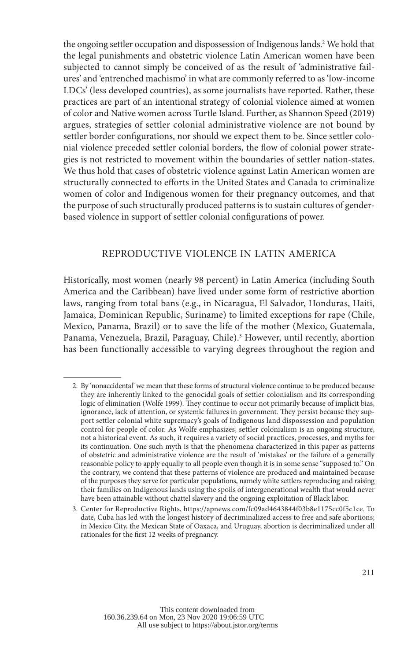the ongoing settler occupation and dispossession of Indigenous lands.2 We hold that the legal punishments and obstetric violence Latin American women have been subjected to cannot simply be conceived of as the result of 'administrative failures' and 'entrenched machismo' in what are commonly referred to as 'low-income LDCs' (less developed countries), as some journalists have reported. Rather, these practices are part of an intentional strategy of colonial violence aimed at women of color and Native women across Turtle Island. Further, as Shannon Speed (2019) argues, strategies of settler colonial administrative violence are not bound by settler border configurations, nor should we expect them to be. Since settler colonial violence preceded settler colonial borders, the flow of colonial power strategies is not restricted to movement within the boundaries of settler nation-states. We thus hold that cases of obstetric violence against Latin American women are structurally connected to efforts in the United States and Canada to criminalize women of color and Indigenous women for their pregnancy outcomes, and that the purpose of such structurally produced patterns is to sustain cultures of genderbased violence in support of settler colonial configurations of power.

#### REPRODUCTIVE VIOLENCE IN LATIN AMERICA

Historically, most women (nearly 98 percent) in Latin America (including South America and the Caribbean) have lived under some form of restrictive abortion laws, ranging from total bans (e.g., in Nicaragua, El Salvador, Honduras, Haiti, Jamaica, Dominican Republic, Suriname) to limited exceptions for rape (Chile, Mexico, Panama, Brazil) or to save the life of the mother (Mexico, Guatemala, Panama, Venezuela, Brazil, Paraguay, Chile).<sup>3</sup> However, until recently, abortion has been functionally accessible to varying degrees throughout the region and

<sup>2.</sup> By 'nonaccidental' we mean that these forms of structural violence continue to be produced because they are inherently linked to the genocidal goals of settler colonialism and its corresponding logic of elimination (Wolfe 1999). They continue to occur not primarily because of implicit bias, ignorance, lack of attention, or systemic failures in government. They persist because they support settler colonial white supremacy's goals of Indigenous land dispossession and population control for people of color. As Wolfe emphasizes, settler colonialism is an ongoing structure, not a historical event. As such, it requires a variety of social practices, processes, and myths for its continuation. One such myth is that the phenomena characterized in this paper as patterns of obstetric and administrative violence are the result of 'mistakes' or the failure of a generally reasonable policy to apply equally to all people even though it is in some sense "supposed to." On the contrary, we contend that these patterns of violence are produced and maintained because of the purposes they serve for particular populations, namely white settlers reproducing and raising their families on Indigenous lands using the spoils of intergenerational wealth that would never have been attainable without chattel slavery and the ongoing exploitation of Black labor.

<sup>3.</sup> Center for Reproductive Rights, https://apnews.com/fc09ad4643844f03b8e1175cc0f5c1ce. To date, Cuba has led with the longest history of decriminalized access to free and safe abortions; in Mexico City, the Mexican State of Oaxaca, and Uruguay, abortion is decriminalized under all rationales for the first 12 weeks of pregnancy.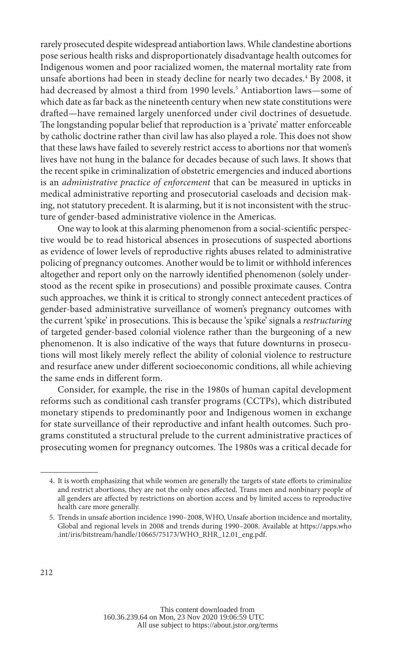rarely prosecuted despite widespread antiabortion laws. While clandestine abortions pose serious health risks and disproportionately disadvantage health outcomes for Indigenous women and poor racialized women, the maternal mortality rate from unsafe abortions had been in steady decline for nearly two decades.4 By 2008, it had decreased by almost a third from 1990 levels.5 Antiabortion laws—some of which date as far back as the nineteenth century when new state constitutions were drafted—have remained largely unenforced under civil doctrines of desuetude. The longstanding popular belief that reproduction is a 'private' matter enforceable by catholic doctrine rather than civil law has also played a role. This does not show that these laws have failed to severely restrict access to abortions nor that women's lives have not hung in the balance for decades because of such laws. It shows that the recent spike in criminalization of obstetric emergencies and induced abortions is an *administrative practice of enforcement* that can be measured in upticks in medical administrative reporting and prosecutorial caseloads and decision making, not statutory precedent. It is alarming, but it is not inconsistent with the structure of gender-based administrative violence in the Americas.

One way to look at this alarming phenomenon from a social-scientific perspective would be to read historical absences in prosecutions of suspected abortions as evidence of lower levels of reproductive rights abuses related to administrative policing of pregnancy outcomes. Another would be to limit or withhold inferences altogether and report only on the narrowly identified phenomenon (solely understood as the recent spike in prosecutions) and possible proximate causes. Contra such approaches, we think it is critical to strongly connect antecedent practices of gender-based administrative surveillance of women's pregnancy outcomes with the current 'spike' in prosecutions. This is because the 'spike' signals a *restructuring* of targeted gender-based colonial violence rather than the burgeoning of a new phenomenon. It is also indicative of the ways that future downturns in prosecutions will most likely merely reflect the ability of colonial violence to restructure and resurface anew under different socioeconomic conditions, all while achieving the same ends in different form.

Consider, for example, the rise in the 1980s of human capital development reforms such as conditional cash transfer programs (CCTPs), which distributed monetary stipends to predominantly poor and Indigenous women in exchange for state surveillance of their reproductive and infant health outcomes. Such programs constituted a structural prelude to the current administrative practices of prosecuting women for pregnancy outcomes. The 1980s was a critical decade for

<sup>4.</sup> It is worth emphasizing that while women are generally the targets of state efforts to criminalize and restrict abortions, they are not the only ones affected. Trans men and nonbinary people of all genders are affected by restrictions on abortion access and by limited access to reproductive health care more generally.

<sup>5.</sup> Trends in unsafe abortion incidence 1990–2008, WHO, Unsafe abortion incidence and mortality, Global and regional levels in 2008 and trends during 1990–2008. Available at https://apps.who .int/iris/bitstream/handle/10665/75173/WHO\_RHR\_12.01\_eng.pdf.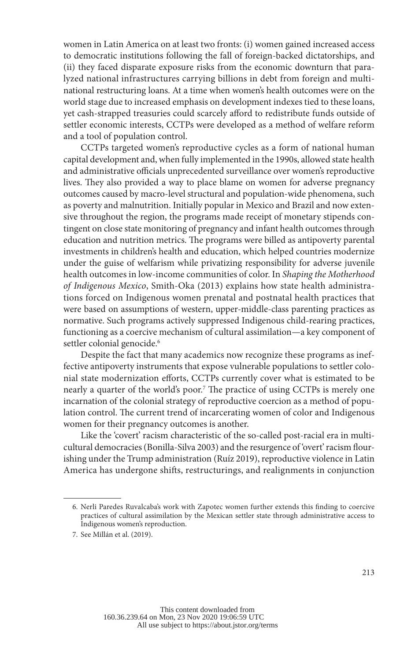women in Latin America on at least two fronts: (i) women gained increased access to democratic institutions following the fall of foreign-backed dictatorships, and (ii) they faced disparate exposure risks from the economic downturn that paralyzed national infrastructures carrying billions in debt from foreign and multinational restructuring loans. At a time when women's health outcomes were on the world stage due to increased emphasis on development indexes tied to these loans, yet cash-strapped treasuries could scarcely afford to redistribute funds outside of settler economic interests, CCTPs were developed as a method of welfare reform and a tool of population control.

CCTPs targeted women's reproductive cycles as a form of national human capital development and, when fully implemented in the 1990s, allowed state health and administrative officials unprecedented surveillance over women's reproductive lives. They also provided a way to place blame on women for adverse pregnancy outcomes caused by macro-level structural and population-wide phenomena, such as poverty and malnutrition. Initially popular in Mexico and Brazil and now extensive throughout the region, the programs made receipt of monetary stipends contingent on close state monitoring of pregnancy and infant health outcomes through education and nutrition metrics. The programs were billed as antipoverty parental investments in children's health and education, which helped countries modernize under the guise of welfarism while privatizing responsibility for adverse juvenile health outcomes in low-income communities of color. In *Shaping the Motherhood of Indigenous Mexico*, Smith-Oka (2013) explains how state health administrations forced on Indigenous women prenatal and postnatal health practices that were based on assumptions of western, upper-middle-class parenting practices as normative. Such programs actively suppressed Indigenous child-rearing practices, functioning as a coercive mechanism of cultural assimilation—a key component of settler colonial genocide.<sup>6</sup>

Despite the fact that many academics now recognize these programs as ineffective antipoverty instruments that expose vulnerable populations to settler colonial state modernization efforts, CCTPs currently cover what is estimated to be nearly a quarter of the world's poor.7 The practice of using CCTPs is merely one incarnation of the colonial strategy of reproductive coercion as a method of population control. The current trend of incarcerating women of color and Indigenous women for their pregnancy outcomes is another.

Like the 'covert' racism characteristic of the so-called post-racial era in multicultural democracies (Bonilla-Silva 2003) and the resurgence of 'overt' racism flourishing under the Trump administration (Ruíz 2019), reproductive violence in Latin America has undergone shifts, restructurings, and realignments in conjunction

<sup>6.</sup> Nerli Paredes Ruvalcaba's work with Zapotec women further extends this finding to coercive practices of cultural assimilation by the Mexican settler state through administrative access to Indigenous women's reproduction.

<sup>7.</sup> See Millán et al. (2019).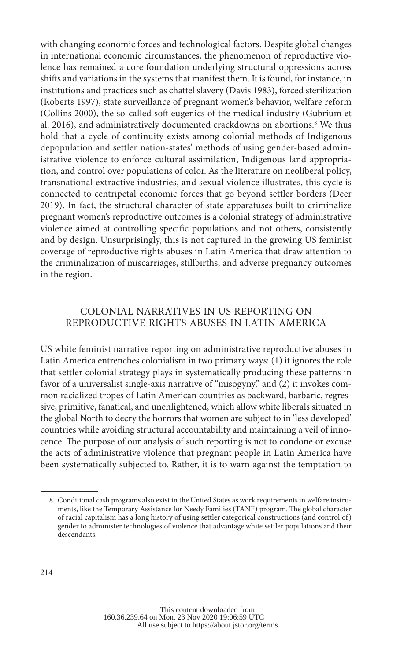with changing economic forces and technological factors. Despite global changes in international economic circumstances, the phenomenon of reproductive violence has remained a core foundation underlying structural oppressions across shifts and variations in the systems that manifest them. It is found, for instance, in institutions and practices such as chattel slavery (Davis 1983), forced sterilization (Roberts 1997), state surveillance of pregnant women's behavior, welfare reform (Collins 2000), the so-called soft eugenics of the medical industry (Gubrium et al. 2016), and administratively documented crackdowns on abortions.<sup>8</sup> We thus hold that a cycle of continuity exists among colonial methods of Indigenous depopulation and settler nation-states' methods of using gender-based administrative violence to enforce cultural assimilation, Indigenous land appropriation, and control over populations of color. As the literature on neoliberal policy, transnational extractive industries, and sexual violence illustrates, this cycle is connected to centripetal economic forces that go beyond settler borders (Deer 2019). In fact, the structural character of state apparatuses built to criminalize pregnant women's reproductive outcomes is a colonial strategy of administrative violence aimed at controlling specific populations and not others, consistently and by design. Unsurprisingly, this is not captured in the growing US feminist coverage of reproductive rights abuses in Latin America that draw attention to the criminalization of miscarriages, stillbirths, and adverse pregnancy outcomes in the region.

### COLONIAL NARRATIVES IN US REPORTING ON REPRODUCTIVE RIGHTS ABUSES IN LATIN AMERICA

US white feminist narrative reporting on administrative reproductive abuses in Latin America entrenches colonialism in two primary ways: (1) it ignores the role that settler colonial strategy plays in systematically producing these patterns in favor of a universalist single-axis narrative of "misogyny," and (2) it invokes common racialized tropes of Latin American countries as backward, barbaric, regressive, primitive, fanatical, and unenlightened, which allow white liberals situated in the global North to decry the horrors that women are subject to in 'less developed' countries while avoiding structural accountability and maintaining a veil of innocence. The purpose of our analysis of such reporting is not to condone or excuse the acts of administrative violence that pregnant people in Latin America have been systematically subjected to. Rather, it is to warn against the temptation to

<sup>8.</sup> Conditional cash programs also exist in the United States as work requirements in welfare instruments, like the Temporary Assistance for Needy Families (TANF) program. The global character of racial capitalism has a long history of using settler categorical constructions (and control of ) gender to administer technologies of violence that advantage white settler populations and their descendants.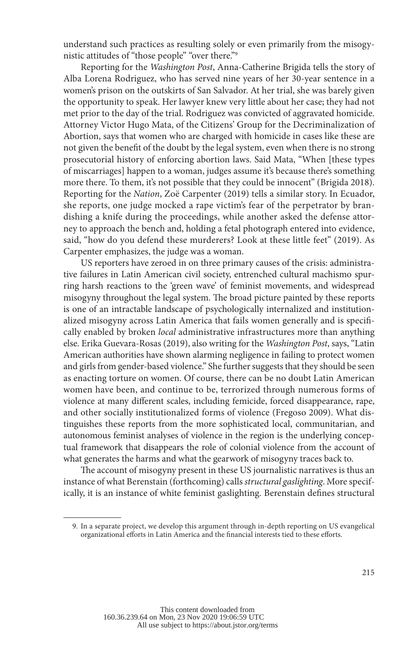understand such practices as resulting solely or even primarily from the misogynistic attitudes of "those people" "over there."9

Reporting for the *Washington Post*, Anna-Catherine Brigida tells the story of Alba Lorena Rodriguez, who has served nine years of her 30-year sentence in a women's prison on the outskirts of San Salvador. At her trial, she was barely given the opportunity to speak. Her lawyer knew very little about her case; they had not met prior to the day of the trial. Rodriguez was convicted of aggravated homicide. Attorney Victor Hugo Mata, of the Citizens' Group for the Decriminalization of Abortion, says that women who are charged with homicide in cases like these are not given the benefit of the doubt by the legal system, even when there is no strong prosecutorial history of enforcing abortion laws. Said Mata, "When [these types of miscarriages] happen to a woman, judges assume it's because there's something more there. To them, it's not possible that they could be innocent" (Brigida 2018). Reporting for the *Nation*, Zoë Carpenter (2019) tells a similar story. In Ecuador, she reports, one judge mocked a rape victim's fear of the perpetrator by brandishing a knife during the proceedings, while another asked the defense attorney to approach the bench and, holding a fetal photograph entered into evidence, said, "how do you defend these murderers? Look at these little feet" (2019). As Carpenter emphasizes, the judge was a woman.

US reporters have zeroed in on three primary causes of the crisis: administrative failures in Latin American civil society, entrenched cultural machismo spurring harsh reactions to the 'green wave' of feminist movements, and widespread misogyny throughout the legal system. The broad picture painted by these reports is one of an intractable landscape of psychologically internalized and institutionalized misogyny across Latin America that fails women generally and is specifically enabled by broken *local* administrative infrastructures more than anything else. Erika Guevara-Rosas (2019), also writing for the *Washington Post*, says, "Latin American authorities have shown alarming negligence in failing to protect women and girls from gender-based violence." She further suggests that they should be seen as enacting torture on women. Of course, there can be no doubt Latin American women have been, and continue to be, terrorized through numerous forms of violence at many different scales, including femicide, forced disappearance, rape, and other socially institutionalized forms of violence (Fregoso 2009). What distinguishes these reports from the more sophisticated local, communitarian, and autonomous feminist analyses of violence in the region is the underlying conceptual framework that disappears the role of colonial violence from the account of what generates the harms and what the gearwork of misogyny traces back to.

The account of misogyny present in these US journalistic narratives is thus an instance of what Berenstain (forthcoming) calls *structural gaslighting*. More specifically, it is an instance of white feminist gaslighting. Berenstain defines structural

<sup>9.</sup> In a separate project, we develop this argument through in-depth reporting on US evangelical organizational efforts in Latin America and the financial interests tied to these efforts.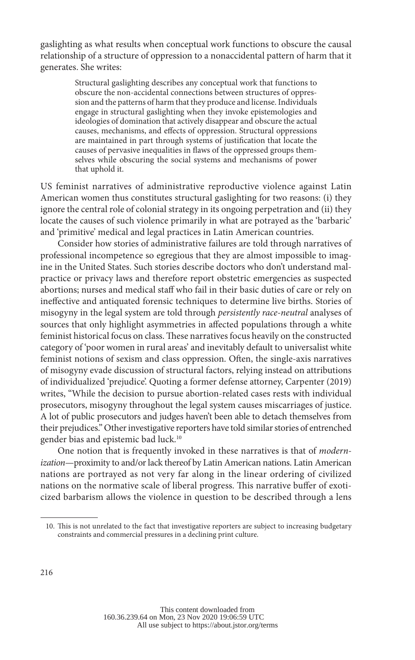gaslighting as what results when conceptual work functions to obscure the causal relationship of a structure of oppression to a nonaccidental pattern of harm that it generates. She writes:

> Structural gaslighting describes any conceptual work that functions to obscure the non-accidental connections between structures of oppression and the patterns of harm that they produce and license. Individuals engage in structural gaslighting when they invoke epistemologies and ideologies of domination that actively disappear and obscure the actual causes, mechanisms, and effects of oppression. Structural oppressions are maintained in part through systems of justification that locate the causes of pervasive inequalities in flaws of the oppressed groups themselves while obscuring the social systems and mechanisms of power that uphold it.

US feminist narratives of administrative reproductive violence against Latin American women thus constitutes structural gaslighting for two reasons: (i) they ignore the central role of colonial strategy in its ongoing perpetration and (ii) they locate the causes of such violence primarily in what are potrayed as the 'barbaric' and 'primitive' medical and legal practices in Latin American countries.

Consider how stories of administrative failures are told through narratives of professional incompetence so egregious that they are almost impossible to imagine in the United States. Such stories describe doctors who don't understand malpractice or privacy laws and therefore report obstetric emergencies as suspected abortions; nurses and medical staff who fail in their basic duties of care or rely on ineffective and antiquated forensic techniques to determine live births. Stories of misogyny in the legal system are told through *persistently race-neutral* analyses of sources that only highlight asymmetries in affected populations through a white feminist historical focus on class. These narratives focus heavily on the constructed category of 'poor women in rural areas' and inevitably default to universalist white feminist notions of sexism and class oppression. Often, the single-axis narratives of misogyny evade discussion of structural factors, relying instead on attributions of individualized 'prejudice'. Quoting a former defense attorney, Carpenter (2019) writes, "While the decision to pursue abortion-related cases rests with individual prosecutors, misogyny throughout the legal system causes miscarriages of justice. A lot of public prosecutors and judges haven't been able to detach themselves from their prejudices." Other investigative reporters have told similar stories of entrenched gender bias and epistemic bad luck.10

One notion that is frequently invoked in these narratives is that of *modernization*—proximity to and/or lack thereof by Latin American nations. Latin American nations are portrayed as not very far along in the linear ordering of civilized nations on the normative scale of liberal progress. This narrative buffer of exoticized barbarism allows the violence in question to be described through a lens

<sup>10.</sup> This is not unrelated to the fact that investigative reporters are subject to increasing budgetary constraints and commercial pressures in a declining print culture.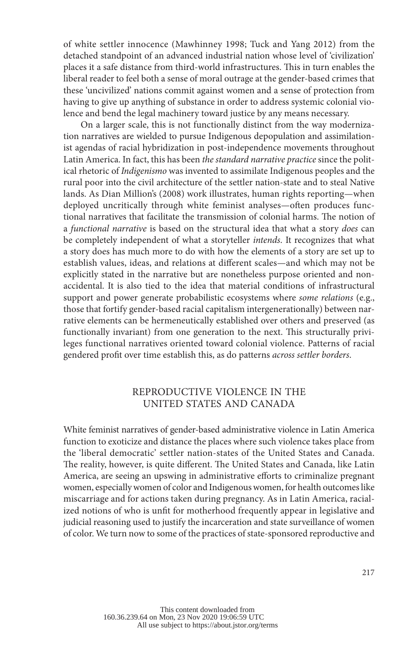of white settler innocence (Mawhinney 1998; Tuck and Yang 2012) from the detached standpoint of an advanced industrial nation whose level of 'civilization' places it a safe distance from third-world infrastructures. This in turn enables the liberal reader to feel both a sense of moral outrage at the gender-based crimes that these 'uncivilized' nations commit against women and a sense of protection from having to give up anything of substance in order to address systemic colonial violence and bend the legal machinery toward justice by any means necessary.

On a larger scale, this is not functionally distinct from the way modernization narratives are wielded to pursue Indigenous depopulation and assimilationist agendas of racial hybridization in post-independence movements throughout Latin America. In fact, this has been *the standard narrative practice* since the political rhetoric of *Indigenismo* was invented to assimilate Indigenous peoples and the rural poor into the civil architecture of the settler nation-state and to steal Native lands. As Dian Million's (2008) work illustrates, human rights reporting—when deployed uncritically through white feminist analyses—often produces functional narratives that facilitate the transmission of colonial harms. The notion of a *functional narrative* is based on the structural idea that what a story *does* can be completely independent of what a storyteller *intends*. It recognizes that what a story does has much more to do with how the elements of a story are set up to establish values, ideas, and relations at different scales—and which may not be explicitly stated in the narrative but are nonetheless purpose oriented and nonaccidental. It is also tied to the idea that material conditions of infrastructural support and power generate probabilistic ecosystems where *some relations* (e.g., those that fortify gender-based racial capitalism intergenerationally) between narrative elements can be hermeneutically established over others and preserved (as functionally invariant) from one generation to the next. This structurally privileges functional narratives oriented toward colonial violence. Patterns of racial gendered profit over time establish this, as do patterns *across settler borders*.

### REPRODUCTIVE VIOLENCE IN THE UNITED STATES AND CANADA

White feminist narratives of gender-based administrative violence in Latin America function to exoticize and distance the places where such violence takes place from the 'liberal democratic' settler nation-states of the United States and Canada. The reality, however, is quite different. The United States and Canada, like Latin America, are seeing an upswing in administrative efforts to criminalize pregnant women, especially women of color and Indigenous women, for health outcomes like miscarriage and for actions taken during pregnancy. As in Latin America, racialized notions of who is unfit for motherhood frequently appear in legislative and judicial reasoning used to justify the incarceration and state surveillance of women of color. We turn now to some of the practices of state-sponsored reproductive and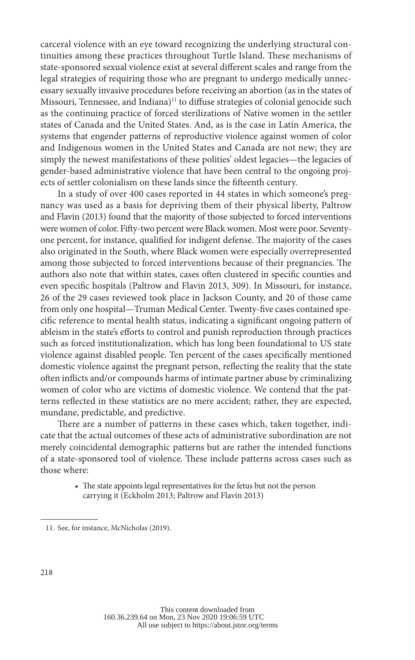carceral violence with an eye toward recognizing the underlying structural continuities among these practices throughout Turtle Island. These mechanisms of state-sponsored sexual violence exist at several different scales and range from the legal strategies of requiring those who are pregnant to undergo medically unnecessary sexually invasive procedures before receiving an abortion (as in the states of Missouri, Tennessee, and Indiana)<sup>11</sup> to diffuse strategies of colonial genocide such as the continuing practice of forced sterilizations of Native women in the settler states of Canada and the United States. And, as is the case in Latin America, the systems that engender patterns of reproductive violence against women of color and Indigenous women in the United States and Canada are not new; they are simply the newest manifestations of these polities' oldest legacies—the legacies of gender-based administrative violence that have been central to the ongoing projects of settler colonialism on these lands since the fifteenth century.

In a study of over 400 cases reported in 44 states in which someone's pregnancy was used as a basis for depriving them of their physical liberty, Paltrow and Flavin (2013) found that the majority of those subjected to forced interventions were women of color. Fifty-two percent were Black women. Most were poor. Seventyone percent, for instance, qualified for indigent defense. The majority of the cases also originated in the South, where Black women were especially overrepresented among those subjected to forced interventions because of their pregnancies. The authors also note that within states, cases often clustered in specific counties and even specific hospitals (Paltrow and Flavin 2013, 309). In Missouri, for instance, 26 of the 29 cases reviewed took place in Jackson County, and 20 of those came from only one hospital—Truman Medical Center. Twenty-five cases contained specific reference to mental health status, indicating a significant ongoing pattern of ableism in the state's efforts to control and punish reproduction through practices such as forced institutionalization, which has long been foundational to US state violence against disabled people. Ten percent of the cases specifically mentioned domestic violence against the pregnant person, reflecting the reality that the state often inflicts and/or compounds harms of intimate partner abuse by criminalizing women of color who are victims of domestic violence. We contend that the patterns reflected in these statistics are no mere accident; rather, they are expected, mundane, predictable, and predictive.

There are a number of patterns in these cases which, taken together, indicate that the actual outcomes of these acts of administrative subordination are not merely coincidental demographic patterns but are rather the intended functions of a state-sponsored tool of violence. These include patterns across cases such as those where:

> • The state appoints legal representatives for the fetus but not the person carrying it (Eckholm 2013; Paltrow and Flavin 2013)

<sup>11.</sup> See, for instance, McNicholas (2019).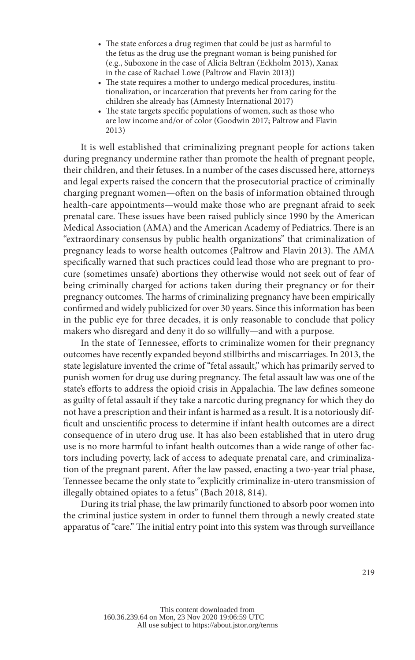- The state enforces a drug regimen that could be just as harmful to the fetus as the drug use the pregnant woman is being punished for (e.g., Suboxone in the case of Alicia Beltran (Eckholm 2013), Xanax in the case of Rachael Lowe (Paltrow and Flavin 2013))
- The state requires a mother to undergo medical procedures, institutionalization, or incarceration that prevents her from caring for the children she already has (Amnesty International 2017)
- The state targets specific populations of women, such as those who are low income and/or of color (Goodwin 2017; Paltrow and Flavin 2013)

It is well established that criminalizing pregnant people for actions taken during pregnancy undermine rather than promote the health of pregnant people, their children, and their fetuses. In a number of the cases discussed here, attorneys and legal experts raised the concern that the prosecutorial practice of criminally charging pregnant women—often on the basis of information obtained through health-care appointments—would make those who are pregnant afraid to seek prenatal care. These issues have been raised publicly since 1990 by the American Medical Association (AMA) and the American Academy of Pediatrics. There is an "extraordinary consensus by public health organizations" that criminalization of pregnancy leads to worse health outcomes (Paltrow and Flavin 2013). The AMA specifically warned that such practices could lead those who are pregnant to procure (sometimes unsafe) abortions they otherwise would not seek out of fear of being criminally charged for actions taken during their pregnancy or for their pregnancy outcomes. The harms of criminalizing pregnancy have been empirically confirmed and widely publicized for over 30 years. Since this information has been in the public eye for three decades, it is only reasonable to conclude that policy makers who disregard and deny it do so willfully—and with a purpose.

In the state of Tennessee, efforts to criminalize women for their pregnancy outcomes have recently expanded beyond stillbirths and miscarriages. In 2013, the state legislature invented the crime of "fetal assault," which has primarily served to punish women for drug use during pregnancy. The fetal assault law was one of the state's efforts to address the opioid crisis in Appalachia. The law defines someone as guilty of fetal assault if they take a narcotic during pregnancy for which they do not have a prescription and their infant is harmed as a result. It is a notoriously difficult and unscientific process to determine if infant health outcomes are a direct consequence of in utero drug use. It has also been established that in utero drug use is no more harmful to infant health outcomes than a wide range of other factors including poverty, lack of access to adequate prenatal care, and criminalization of the pregnant parent. After the law passed, enacting a two-year trial phase, Tennessee became the only state to "explicitly criminalize in-utero transmission of illegally obtained opiates to a fetus" (Bach 2018, 814).

During its trial phase, the law primarily functioned to absorb poor women into the criminal justice system in order to funnel them through a newly created state apparatus of "care." The initial entry point into this system was through surveillance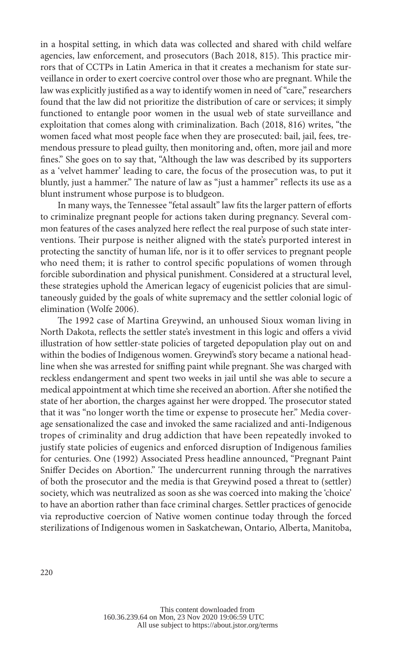in a hospital setting, in which data was collected and shared with child welfare agencies, law enforcement, and prosecutors (Bach 2018, 815). This practice mirrors that of CCTPs in Latin America in that it creates a mechanism for state surveillance in order to exert coercive control over those who are pregnant. While the law was explicitly justified as a way to identify women in need of "care," researchers found that the law did not prioritize the distribution of care or services; it simply functioned to entangle poor women in the usual web of state surveillance and exploitation that comes along with criminalization. Bach (2018, 816) writes, "the women faced what most people face when they are prosecuted: bail, jail, fees, tremendous pressure to plead guilty, then monitoring and, often, more jail and more fines." She goes on to say that, "Although the law was described by its supporters as a 'velvet hammer' leading to care, the focus of the prosecution was, to put it bluntly, just a hammer." The nature of law as "just a hammer" reflects its use as a blunt instrument whose purpose is to bludgeon.

In many ways, the Tennessee "fetal assault" law fits the larger pattern of efforts to criminalize pregnant people for actions taken during pregnancy. Several common features of the cases analyzed here reflect the real purpose of such state interventions. Their purpose is neither aligned with the state's purported interest in protecting the sanctity of human life, nor is it to offer services to pregnant people who need them; it is rather to control specific populations of women through forcible subordination and physical punishment. Considered at a structural level, these strategies uphold the American legacy of eugenicist policies that are simultaneously guided by the goals of white supremacy and the settler colonial logic of elimination (Wolfe 2006).

The 1992 case of Martina Greywind, an unhoused Sioux woman living in North Dakota, reflects the settler state's investment in this logic and offers a vivid illustration of how settler-state policies of targeted depopulation play out on and within the bodies of Indigenous women. Greywind's story became a national headline when she was arrested for sniffing paint while pregnant. She was charged with reckless endangerment and spent two weeks in jail until she was able to secure a medical appointment at which time she received an abortion. After she notified the state of her abortion, the charges against her were dropped. The prosecutor stated that it was "no longer worth the time or expense to prosecute her." Media coverage sensationalized the case and invoked the same racialized and anti-Indigenous tropes of criminality and drug addiction that have been repeatedly invoked to justify state policies of eugenics and enforced disruption of Indigenous families for centuries. One (1992) Associated Press headline announced, "Pregnant Paint Sniffer Decides on Abortion." The undercurrent running through the narratives of both the prosecutor and the media is that Greywind posed a threat to (settler) society, which was neutralized as soon as she was coerced into making the 'choice' to have an abortion rather than face criminal charges. Settler practices of genocide via reproductive coercion of Native women continue today through the forced sterilizations of Indigenous women in Saskatchewan, Ontario, Alberta, Manitoba,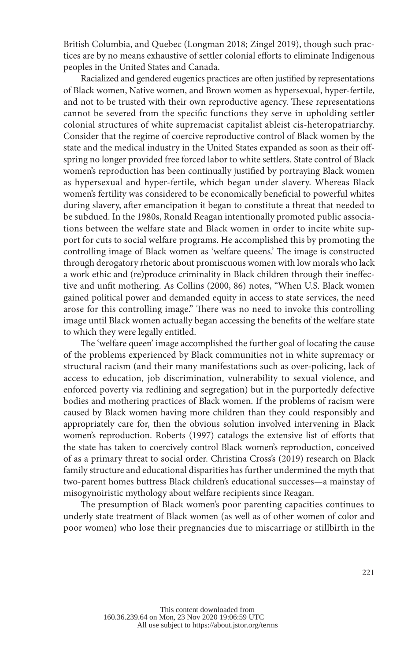British Columbia, and Quebec (Longman 2018; Zingel 2019), though such practices are by no means exhaustive of settler colonial efforts to eliminate Indigenous peoples in the United States and Canada.

Racialized and gendered eugenics practices are often justified by representations of Black women, Native women, and Brown women as hypersexual, hyper-fertile, and not to be trusted with their own reproductive agency. These representations cannot be severed from the specific functions they serve in upholding settler colonial structures of white supremacist capitalist ableist cis-heteropatriarchy. Consider that the regime of coercive reproductive control of Black women by the state and the medical industry in the United States expanded as soon as their offspring no longer provided free forced labor to white settlers. State control of Black women's reproduction has been continually justified by portraying Black women as hypersexual and hyper-fertile, which began under slavery. Whereas Black women's fertility was considered to be economically beneficial to powerful whites during slavery, after emancipation it began to constitute a threat that needed to be subdued. In the 1980s, Ronald Reagan intentionally promoted public associations between the welfare state and Black women in order to incite white support for cuts to social welfare programs. He accomplished this by promoting the controlling image of Black women as 'welfare queens.' The image is constructed through derogatory rhetoric about promiscuous women with low morals who lack a work ethic and (re)produce criminality in Black children through their ineffective and unfit mothering. As Collins (2000, 86) notes, "When U.S. Black women gained political power and demanded equity in access to state services, the need arose for this controlling image." There was no need to invoke this controlling image until Black women actually began accessing the benefits of the welfare state to which they were legally entitled.

The 'welfare queen' image accomplished the further goal of locating the cause of the problems experienced by Black communities not in white supremacy or structural racism (and their many manifestations such as over-policing, lack of access to education, job discrimination, vulnerability to sexual violence, and enforced poverty via redlining and segregation) but in the purportedly defective bodies and mothering practices of Black women. If the problems of racism were caused by Black women having more children than they could responsibly and appropriately care for, then the obvious solution involved intervening in Black women's reproduction. Roberts (1997) catalogs the extensive list of efforts that the state has taken to coercively control Black women's reproduction, conceived of as a primary threat to social order. Christina Cross's (2019) research on Black family structure and educational disparities has further undermined the myth that two-parent homes buttress Black children's educational successes—a mainstay of misogynoiristic mythology about welfare recipients since Reagan.

The presumption of Black women's poor parenting capacities continues to underly state treatment of Black women (as well as of other women of color and poor women) who lose their pregnancies due to miscarriage or stillbirth in the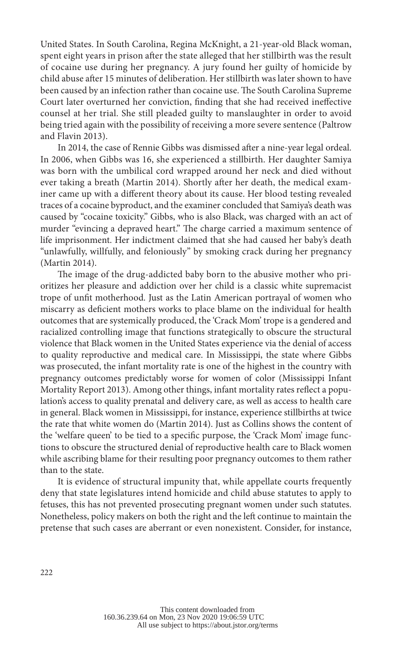United States. In South Carolina, Regina McKnight, a 21-year-old Black woman, spent eight years in prison after the state alleged that her stillbirth was the result of cocaine use during her pregnancy. A jury found her guilty of homicide by child abuse after 15 minutes of deliberation. Her stillbirth was later shown to have been caused by an infection rather than cocaine use. The South Carolina Supreme Court later overturned her conviction, finding that she had received ineffective counsel at her trial. She still pleaded guilty to manslaughter in order to avoid being tried again with the possibility of receiving a more severe sentence (Paltrow and Flavin 2013).

In 2014, the case of Rennie Gibbs was dismissed after a nine-year legal ordeal. In 2006, when Gibbs was 16, she experienced a stillbirth. Her daughter Samiya was born with the umbilical cord wrapped around her neck and died without ever taking a breath (Martin 2014). Shortly after her death, the medical examiner came up with a different theory about its cause. Her blood testing revealed traces of a cocaine byproduct, and the examiner concluded that Samiya's death was caused by "cocaine toxicity." Gibbs, who is also Black, was charged with an act of murder "evincing a depraved heart." The charge carried a maximum sentence of life imprisonment. Her indictment claimed that she had caused her baby's death "unlawfully, willfully, and feloniously" by smoking crack during her pregnancy (Martin 2014).

The image of the drug-addicted baby born to the abusive mother who prioritizes her pleasure and addiction over her child is a classic white supremacist trope of unfit motherhood. Just as the Latin American portrayal of women who miscarry as deficient mothers works to place blame on the individual for health outcomes that are systemically produced, the 'Crack Mom' trope is a gendered and racialized controlling image that functions strategically to obscure the structural violence that Black women in the United States experience via the denial of access to quality reproductive and medical care. In Mississippi, the state where Gibbs was prosecuted, the infant mortality rate is one of the highest in the country with pregnancy outcomes predictably worse for women of color (Mississippi Infant Mortality Report 2013). Among other things, infant mortality rates reflect a population's access to quality prenatal and delivery care, as well as access to health care in general. Black women in Mississippi, for instance, experience stillbirths at twice the rate that white women do (Martin 2014). Just as Collins shows the content of the 'welfare queen' to be tied to a specific purpose, the 'Crack Mom' image functions to obscure the structured denial of reproductive health care to Black women while ascribing blame for their resulting poor pregnancy outcomes to them rather than to the state.

It is evidence of structural impunity that, while appellate courts frequently deny that state legislatures intend homicide and child abuse statutes to apply to fetuses, this has not prevented prosecuting pregnant women under such statutes. Nonetheless, policy makers on both the right and the left continue to maintain the pretense that such cases are aberrant or even nonexistent. Consider, for instance,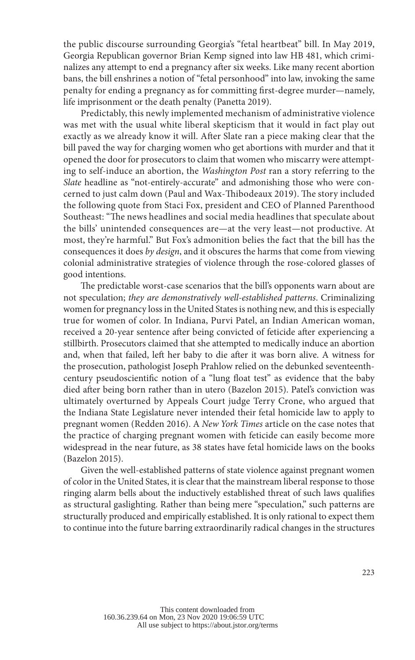the public discourse surrounding Georgia's "fetal heartbeat" bill. In May 2019, Georgia Republican governor Brian Kemp signed into law HB 481, which criminalizes any attempt to end a pregnancy after six weeks. Like many recent abortion bans, the bill enshrines a notion of "fetal personhood" into law, invoking the same penalty for ending a pregnancy as for committing first-degree murder—namely, life imprisonment or the death penalty (Panetta 2019).

Predictably, this newly implemented mechanism of administrative violence was met with the usual white liberal skepticism that it would in fact play out exactly as we already know it will. After Slate ran a piece making clear that the bill paved the way for charging women who get abortions with murder and that it opened the door for prosecutors to claim that women who miscarry were attempting to self-induce an abortion, the *Washington Post* ran a story referring to the *Slate* headline as "not-entirely-accurate" and admonishing those who were concerned to just calm down (Paul and Wax-Thibodeaux 2019). The story included the following quote from Staci Fox, president and CEO of Planned Parenthood Southeast: "The news headlines and social media headlines that speculate about the bills' unintended consequences are—at the very least—not productive. At most, they're harmful." But Fox's admonition belies the fact that the bill has the consequences it does *by design*, and it obscures the harms that come from viewing colonial administrative strategies of violence through the rose-colored glasses of good intentions.

The predictable worst-case scenarios that the bill's opponents warn about are not speculation; *they are demonstratively well-established patterns*. Criminalizing women for pregnancy loss in the United States is nothing new, and this is especially true for women of color. In Indiana, Purvi Patel, an Indian American woman, received a 20-year sentence after being convicted of feticide after experiencing a stillbirth. Prosecutors claimed that she attempted to medically induce an abortion and, when that failed, left her baby to die after it was born alive. A witness for the prosecution, pathologist Joseph Prahlow relied on the debunked seventeenthcentury pseudoscientific notion of a "lung float test" as evidence that the baby died after being born rather than in utero (Bazelon 2015). Patel's conviction was ultimately overturned by Appeals Court judge Terry Crone, who argued that the Indiana State Legislature never intended their fetal homicide law to apply to pregnant women (Redden 2016). A *New York Times* article on the case notes that the practice of charging pregnant women with feticide can easily become more widespread in the near future, as 38 states have fetal homicide laws on the books (Bazelon 2015).

Given the well-established patterns of state violence against pregnant women of color in the United States, it is clear that the mainstream liberal response to those ringing alarm bells about the inductively established threat of such laws qualifies as structural gaslighting. Rather than being mere "speculation," such patterns are structurally produced and empirically established. It is only rational to expect them to continue into the future barring extraordinarily radical changes in the structures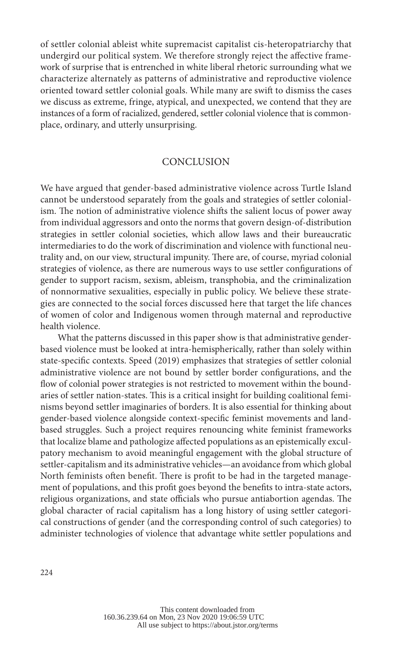of settler colonial ableist white supremacist capitalist cis-heteropatriarchy that undergird our political system. We therefore strongly reject the affective framework of surprise that is entrenched in white liberal rhetoric surrounding what we characterize alternately as patterns of administrative and reproductive violence oriented toward settler colonial goals. While many are swift to dismiss the cases we discuss as extreme, fringe, atypical, and unexpected, we contend that they are instances of a form of racialized, gendered, settler colonial violence that is commonplace, ordinary, and utterly unsurprising.

#### **CONCLUSION**

We have argued that gender-based administrative violence across Turtle Island cannot be understood separately from the goals and strategies of settler colonialism. The notion of administrative violence shifts the salient locus of power away from individual aggressors and onto the norms that govern design-of-distribution strategies in settler colonial societies, which allow laws and their bureaucratic intermediaries to do the work of discrimination and violence with functional neutrality and, on our view, structural impunity. There are, of course, myriad colonial strategies of violence, as there are numerous ways to use settler configurations of gender to support racism, sexism, ableism, transphobia, and the criminalization of nonnormative sexualities, especially in public policy. We believe these strategies are connected to the social forces discussed here that target the life chances of women of color and Indigenous women through maternal and reproductive health violence.

What the patterns discussed in this paper show is that administrative genderbased violence must be looked at intra-hemispherically, rather than solely within state-specific contexts. Speed (2019) emphasizes that strategies of settler colonial administrative violence are not bound by settler border configurations, and the flow of colonial power strategies is not restricted to movement within the boundaries of settler nation-states. This is a critical insight for building coalitional feminisms beyond settler imaginaries of borders. It is also essential for thinking about gender-based violence alongside context-specific feminist movements and landbased struggles. Such a project requires renouncing white feminist frameworks that localize blame and pathologize affected populations as an epistemically exculpatory mechanism to avoid meaningful engagement with the global structure of settler-capitalism and its administrative vehicles—an avoidance from which global North feminists often benefit. There is profit to be had in the targeted management of populations, and this profit goes beyond the benefits to intra-state actors, religious organizations, and state officials who pursue antiabortion agendas. The global character of racial capitalism has a long history of using settler categorical constructions of gender (and the corresponding control of such categories) to administer technologies of violence that advantage white settler populations and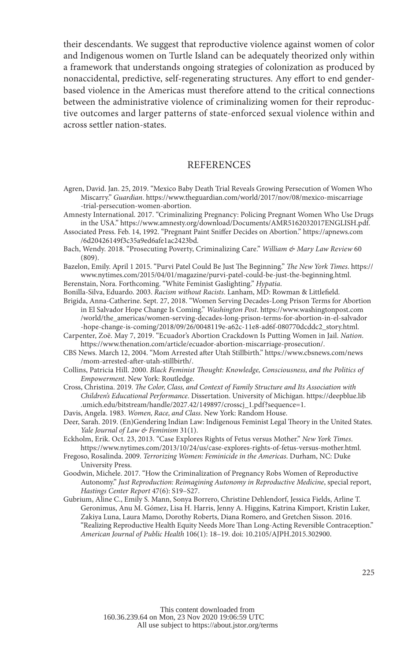their descendants. We suggest that reproductive violence against women of color and Indigenous women on Turtle Island can be adequately theorized only within a framework that understands ongoing strategies of colonization as produced by nonaccidental, predictive, self-regenerating structures. Any effort to end genderbased violence in the Americas must therefore attend to the critical connections between the administrative violence of criminalizing women for their reproductive outcomes and larger patterns of state-enforced sexual violence within and across settler nation-states.

## **REFERENCES**

Agren, David. Jan. 25, 2019. "Mexico Baby Death Trial Reveals Growing Persecution of Women Who Miscarry." *Guardian*. https://www.theguardian.com/world/2017/nov/08/mexico-miscarriage -trial-persecution-women-abortion.

Amnesty International. 2017. "Criminalizing Pregnancy: Policing Pregnant Women Who Use Drugs in the USA." https://www.amnesty.org/download/Documents/AMR5162032017ENGLISH.pdf.

Associated Press. Feb. 14, 1992. "Pregnant Paint Sniffer Decides on Abortion." https://apnews.com /6d20426149f3c35a9ed6afe1ac2423bd.

Bach, Wendy. 2018. "Prosecuting Poverty, Criminalizing Care." *William & Mary Law Review* 60 (809).

Bazelon, Emily. April 1 2015. "Purvi Patel Could Be Just The Beginning." *The New York Times*. https:// www.nytimes.com/2015/04/01/magazine/purvi-patel-could-be-just-the-beginning.html. Berenstain, Nora. Forthcoming. "White Feminist Gaslighting." *Hypatia*.

Bonilla-Silva, Eduardo. 2003. *Racism without Racists*. Lanham, MD: Rowman & Littlefield.

Brigida, Anna-Catherine. Sept. 27, 2018. "Women Serving Decades-Long Prison Terms for Abortion in El Salvador Hope Change Is Coming." *Washington Post*. https://www.washingtonpost.com /world/the\_americas/women-serving-decades-long-prison-terms-for-abortion-in-el-salvador -hope-change-is-coming/2018/09/26/0048119e-a62c-11e8-ad6f-080770dcddc2\_story.html.

Carpenter, Zoë. May 7, 2019. "Ecuador's Abortion Crackdown Is Putting Women in Jail. *Nation*. https://www.thenation.com/article/ecuador-abortion-miscarriage-prosecution/.

CBS News. March 12, 2004. "Mom Arrested after Utah Stillbirth." https://www.cbsnews.com/news /mom-arrested-after-utah-stillbirth/.

Collins, Patricia Hill. 2000. *Black Feminist Thought: Knowledge, Consciousness, and the Politics of Empowerment*. New York: Routledge.

Cross, Christina. 2019. *The Color, Class, and Context of Family Structure and Its Association with Children's Educational Performance*. Dissertation. University of Michigan. https://deepblue.lib .umich.edu/bitstream/handle/2027.42/149897/crosscj\_1.pdf?sequence=1.

Davis, Angela. 1983. *Women, Race, and Class*. New York: Random House.

Deer, Sarah. 2019. (En)Gendering Indian Law: Indigenous Feminist Legal Theory in the United States. *Yale Journal of Law & Feminism* 31(1).

Eckholm, Erik. Oct. 23, 2013. "Case Explores Rights of Fetus versus Mother." *New York Times*. https://www.nytimes.com/2013/10/24/us/case-explores-rights-of-fetus-versus-mother.html.

Fregoso, Rosalinda. 2009. *Terrorizing Women: Feminicide in the Americas*. Durham, NC: Duke University Press.

Goodwin, Michele. 2017. "How the Criminalization of Pregnancy Robs Women of Reproductive Autonomy." *Just Reproduction: Reimagining Autonomy in Reproductive Medicine*, special report, *Hastings Center Report* 47(6): S19–S27.

Gubrium, Aline C., Emily S. Mann, Sonya Borrero, Christine Dehlendorf, Jessica Fields, Arline T. Geronimus, Anu M. Gómez, Lisa H. Harris, Jenny A. Higgins, Katrina Kimport, Kristin Luker, Zakiya Luna, Laura Mamo, Dorothy Roberts, Diana Romero, and Gretchen Sisson. 2016. "Realizing Reproductive Health Equity Needs More Than Long-Acting Reversible Contraception." *American Journal of Public Health* 106(1): 18–19. doi: 10.2105/AJPH.2015.302900.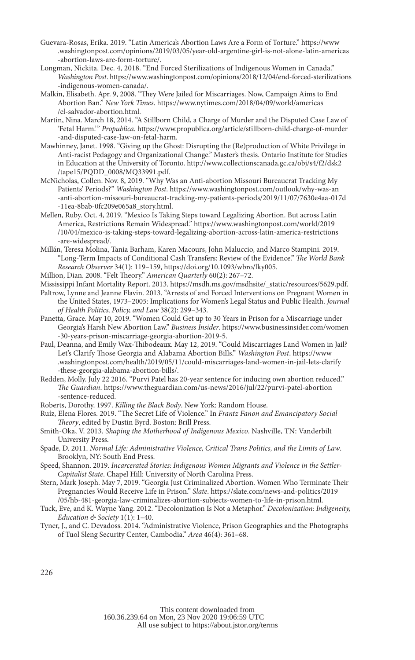- Guevara-Rosas, Erika. 2019. "Latin America's Abortion Laws Are a Form of Torture." https://www .washingtonpost.com/opinions/2019/03/05/year-old-argentine-girl-is-not-alone-latin-americas -abortion-laws-are-form-torture/.
- Longman, Nickita. Dec. 4, 2018. "End Forced Sterilizations of Indigenous Women in Canada." *Washington Post*. https://www.washingtonpost.com/opinions/2018/12/04/end-forced-sterilizations -indigenous-women-canada/.
- Malkin, Elisabeth. Apr. 9, 2008. "They Were Jailed for Miscarriages. Now, Campaign Aims to End Abortion Ban." *New York Times*. https://www.nytimes.com/2018/04/09/world/americas /el-salvador-abortion.html.
- Martin, Nina. March 18, 2014. "A Stillborn Child, a Charge of Murder and the Disputed Case Law of 'Fetal Harm.'" *Propublica*. https://www.propublica.org/article/stillborn-child-charge-of-murder -and-disputed-case-law-on-fetal-harm.
- Mawhinney, Janet. 1998. "Giving up the Ghost: Disrupting the (Re)production of White Privilege in Anti-racist Pedagogy and Organizational Change." Master's thesis. Ontario Institute for Studies in Education at the University of Toronto. http://www.collectionscanada.gc.ca/obj/s4/f2/dsk2 /tape15/PQDD\_0008/MQ33991.pdf.
- McNicholas, Collen. Nov. 8, 2019. "Why Was an Anti-abortion Missouri Bureaucrat Tracking My Patients' Periods?" *Washington Post*. https://www.washingtonpost.com/outlook/why-was-an -anti-abortion-missouri-bureaucrat-tracking-my-patients-periods/2019/11/07/7630e4aa-017d -11ea-8bab-0fc209e065a8\_story.html.
- Mellen, Ruby. Oct. 4, 2019. "Mexico Is Taking Steps toward Legalizing Abortion. But across Latin America, Restrictions Remain Widespread." https://www.washingtonpost.com/world/2019 /10/04/mexico-is-taking-steps-toward-legalizing-abortion-across-latin-america-restrictions -are-widespread/.
- Millán, Teresa Molina, Tania Barham, Karen Macours, John Maluccio, and Marco Stampini. 2019. "Long-Term Impacts of Conditional Cash Transfers: Review of the Evidence." *The World Bank Research Observer* 34(1): 119–159, https://doi.org/10.1093/wbro/lky005.

Million, Dian. 2008. "Felt Theory." *American Quarterly* 60(2): 267–72.

Mississippi Infant Mortality Report. 2013. https://msdh.ms.gov/msdhsite/\_static/resources/5629.pdf.

- Paltrow, Lynne and Jeanne Flavin. 2013. "Arrests of and Forced Interventions on Pregnant Women in the United States, 1973–2005: Implications for Women's Legal Status and Public Health. *Journal of Health Politics, Policy, and Law* 38(2): 299–343.
- Panetta, Grace. May 10, 2019. "Women Could Get up to 30 Years in Prison for a Miscarriage under Georgia's Harsh New Abortion Law." *Business Insider*. https://www.businessinsider.com/women -30-years-prison-miscarriage-georgia-abortion-2019-5.
- Paul, Deanna, and Emily Wax-Thibodeaux. May 12, 2019. "Could Miscarriages Land Women in Jail? Let's Clarify Those Georgia and Alabama Abortion Bills." *Washington Post*. https://www .washingtonpost.com/health/2019/05/11/could-miscarriages-land-women-in-jail-lets-clarify -these-georgia-alabama-abortion-bills/.
- Redden, Molly. July 22 2016. "Purvi Patel has 20-year sentence for inducing own abortion reduced." *The Guardian*. https://www.theguardian.com/us-news/2016/jul/22/purvi-patel-abortion -sentence-reduced.
- Roberts, Dorothy. 1997. *Killing the Black Body*. New York: Random House.
- Ruíz, Elena Flores. 2019. "The Secret Life of Violence." In *Frantz Fanon and Emancipatory Social Theory*, edited by Dustin Byrd. Boston: Brill Press.
- Smith-Oka, V. 2013. *Shaping the Motherhood of Indigenous Mexico*. Nashville, TN: Vanderbilt University Press.
- Spade, D. 2011. *Normal Life: Administrative Violence, Critical Trans Politics, and the Limits of Law*. Brooklyn, NY: South End Press.
- Speed, Shannon. 2019. *Incarcerated Stories: Indigenous Women Migrants and Violence in the Settler-Capitalist State*. Chapel Hill: University of North Carolina Press.
- Stern, Mark Joseph. May 7, 2019. "Georgia Just Criminalized Abortion. Women Who Terminate Their Pregnancies Would Receive Life in Prison." *Slate*. https://slate.com/news-and-politics/2019 /05/hb-481-georgia-law-criminalizes-abortion-subjects-women-to-life-in-prison.html.
- Tuck, Eve, and K. Wayne Yang. 2012. "Decolonization Is Not a Metaphor." *Decolonization: Indigeneity, Education & Society* 1(1): 1–40.
- Tyner, J., and C. Devadoss. 2014. "Administrative Violence, Prison Geographies and the Photographs of Tuol Sleng Security Center, Cambodia." *Area* 46(4): 361–68.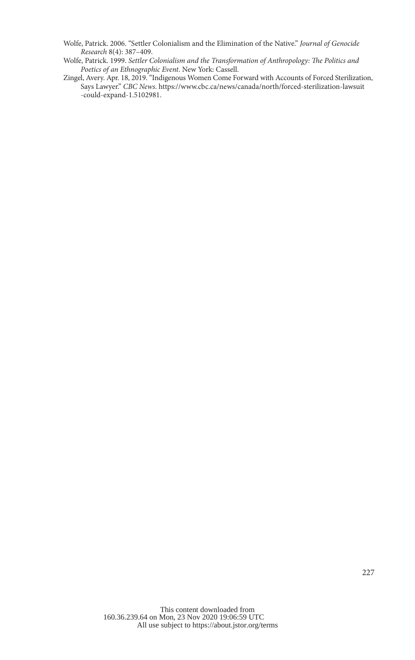- Wolfe, Patrick. 2006. "Settler Colonialism and the Elimination of the Native." *Journal of Genocide Research* 8(4): 387–409.
- Wolfe, Patrick. 1999. *Settler Colonialism and the Transformation of Anthropology: The Politics and Poetics of an Ethnographic Event*. New York: Cassell.
- Zingel, Avery. Apr. 18, 2019. "Indigenous Women Come Forward with Accounts of Forced Sterilization, Says Lawyer." *CBC News*. https://www.cbc.ca/news/canada/north/forced-sterilization-lawsuit -could-expand-1.5102981.